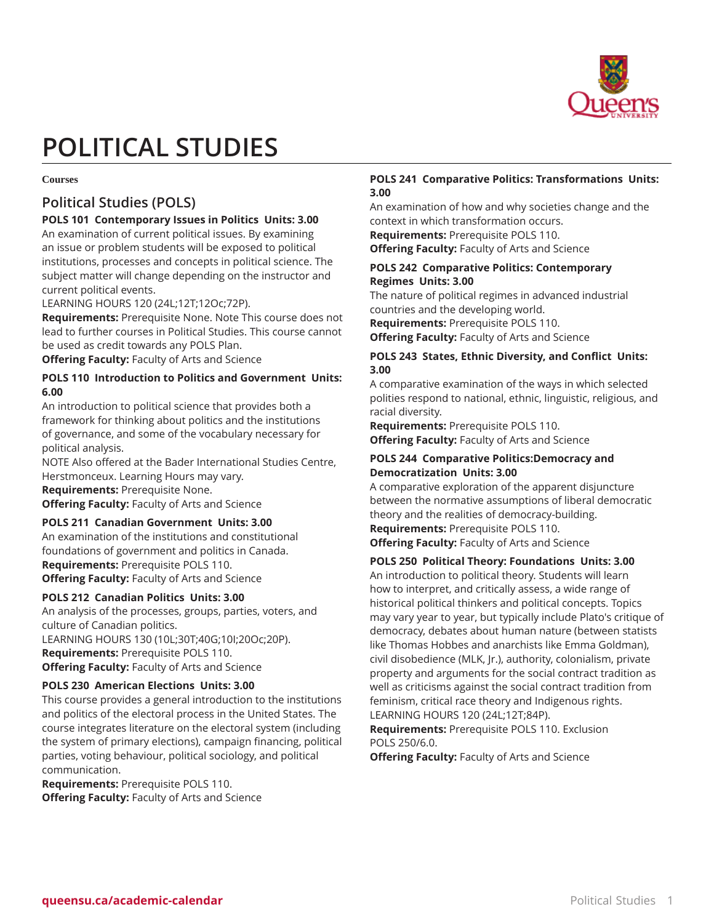

# **POLITICAL STUDIES**

#### **Courses**

# **Political Studies (POLS)**

# **POLS 101 Contemporary Issues in Politics Units: 3.00**

An examination of current political issues. By examining an issue or problem students will be exposed to political institutions, processes and concepts in political science. The subject matter will change depending on the instructor and current political events.

LEARNING HOURS 120 (24L;12T;12Oc;72P).

**Requirements:** Prerequisite None. Note This course does not lead to further courses in Political Studies. This course cannot be used as credit towards any POLS Plan.

**Offering Faculty:** Faculty of Arts and Science

## **POLS 110 Introduction to Politics and Government Units: 6.00**

An introduction to political science that provides both a framework for thinking about politics and the institutions of governance, and some of the vocabulary necessary for political analysis.

NOTE Also offered at the Bader International Studies Centre, Herstmonceux. Learning Hours may vary. **Requirements:** Prerequisite None.

**Offering Faculty:** Faculty of Arts and Science

#### **POLS 211 Canadian Government Units: 3.00**

An examination of the institutions and constitutional foundations of government and politics in Canada. **Requirements:** Prerequisite POLS 110. **Offering Faculty:** Faculty of Arts and Science

#### **POLS 212 Canadian Politics Units: 3.00**

An analysis of the processes, groups, parties, voters, and culture of Canadian politics. LEARNING HOURS 130 (10L;30T;40G;10I;20Oc;20P).

**Requirements:** Prerequisite POLS 110. **Offering Faculty:** Faculty of Arts and Science

# **POLS 230 American Elections Units: 3.00**

This course provides a general introduction to the institutions and politics of the electoral process in the United States. The course integrates literature on the electoral system (including the system of primary elections), campaign financing, political parties, voting behaviour, political sociology, and political communication.

**Requirements:** Prerequisite POLS 110. **Offering Faculty:** Faculty of Arts and Science

# **POLS 241 Comparative Politics: Transformations Units: 3.00**

An examination of how and why societies change and the context in which transformation occurs.

**Requirements:** Prerequisite POLS 110. **Offering Faculty:** Faculty of Arts and Science

#### **POLS 242 Comparative Politics: Contemporary Regimes Units: 3.00**

The nature of political regimes in advanced industrial countries and the developing world. **Requirements:** Prerequisite POLS 110.

**Offering Faculty:** Faculty of Arts and Science

## **POLS 243 States, Ethnic Diversity, and Conflict Units: 3.00**

A comparative examination of the ways in which selected polities respond to national, ethnic, linguistic, religious, and racial diversity.

**Requirements:** Prerequisite POLS 110. **Offering Faculty:** Faculty of Arts and Science

#### **POLS 244 Comparative Politics:Democracy and Democratization Units: 3.00**

A comparative exploration of the apparent disjuncture between the normative assumptions of liberal democratic theory and the realities of democracy-building.

**Requirements:** Prerequisite POLS 110. **Offering Faculty:** Faculty of Arts and Science

# **POLS 250 Political Theory: Foundations Units: 3.00**

An introduction to political theory. Students will learn how to interpret, and critically assess, a wide range of historical political thinkers and political concepts. Topics may vary year to year, but typically include Plato's critique of democracy, debates about human nature (between statists like Thomas Hobbes and anarchists like Emma Goldman), civil disobedience (MLK, Jr.), authority, colonialism, private property and arguments for the social contract tradition as well as criticisms against the social contract tradition from feminism, critical race theory and Indigenous rights. LEARNING HOURS 120 (24L;12T;84P).

**Requirements:** Prerequisite POLS 110. Exclusion POLS 250/6.0.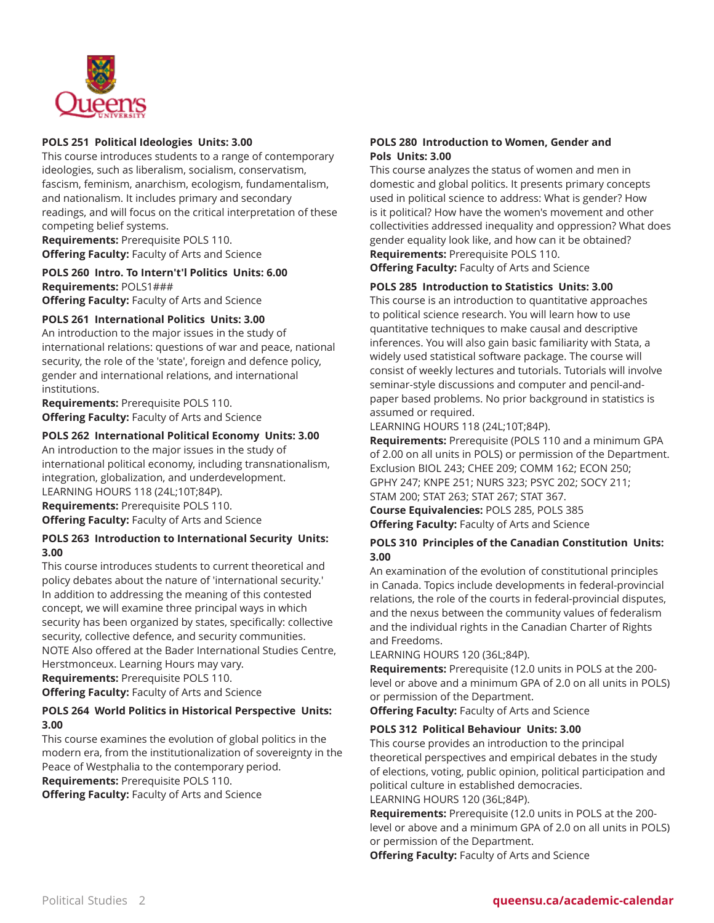

## **POLS 251 Political Ideologies Units: 3.00**

This course introduces students to a range of contemporary ideologies, such as liberalism, socialism, conservatism, fascism, feminism, anarchism, ecologism, fundamentalism, and nationalism. It includes primary and secondary readings, and will focus on the critical interpretation of these competing belief systems.

**Requirements:** Prerequisite POLS 110. **Offering Faculty:** Faculty of Arts and Science

# **POLS 260 Intro. To Intern't'l Politics Units: 6.00 Requirements:** POLS1###

**Offering Faculty:** Faculty of Arts and Science

## **POLS 261 International Politics Units: 3.00**

An introduction to the major issues in the study of international relations: questions of war and peace, national security, the role of the 'state', foreign and defence policy, gender and international relations, and international institutions.

**Requirements:** Prerequisite POLS 110. **Offering Faculty:** Faculty of Arts and Science

#### **POLS 262 International Political Economy Units: 3.00**

An introduction to the major issues in the study of international political economy, including transnationalism, integration, globalization, and underdevelopment. LEARNING HOURS 118 (24L;10T;84P).

**Requirements:** Prerequisite POLS 110. **Offering Faculty:** Faculty of Arts and Science

#### **POLS 263 Introduction to International Security Units: 3.00**

This course introduces students to current theoretical and policy debates about the nature of 'international security.' In addition to addressing the meaning of this contested concept, we will examine three principal ways in which security has been organized by states, specifically: collective security, collective defence, and security communities. NOTE Also offered at the Bader International Studies Centre, Herstmonceux. Learning Hours may vary.

**Requirements:** Prerequisite POLS 110.

**Offering Faculty:** Faculty of Arts and Science

## **POLS 264 World Politics in Historical Perspective Units: 3.00**

This course examines the evolution of global politics in the modern era, from the institutionalization of sovereignty in the Peace of Westphalia to the contemporary period. **Requirements:** Prerequisite POLS 110.

**Offering Faculty:** Faculty of Arts and Science

## **POLS 280 Introduction to Women, Gender and Pols Units: 3.00**

This course analyzes the status of women and men in domestic and global politics. It presents primary concepts used in political science to address: What is gender? How is it political? How have the women's movement and other collectivities addressed inequality and oppression? What does gender equality look like, and how can it be obtained? **Requirements:** Prerequisite POLS 110.

**Offering Faculty:** Faculty of Arts and Science

#### **POLS 285 Introduction to Statistics Units: 3.00**

This course is an introduction to quantitative approaches to political science research. You will learn how to use quantitative techniques to make causal and descriptive inferences. You will also gain basic familiarity with Stata, a widely used statistical software package. The course will consist of weekly lectures and tutorials. Tutorials will involve seminar-style discussions and computer and pencil-andpaper based problems. No prior background in statistics is assumed or required.

LEARNING HOURS 118 (24L;10T;84P).

**Requirements:** Prerequisite (POLS 110 and a minimum GPA of 2.00 on all units in POLS) or permission of the Department. Exclusion BIOL 243; CHEE 209; COMM 162; ECON 250; GPHY 247; KNPE 251; NURS 323; PSYC 202; SOCY 211; STAM 200; STAT 263; STAT 267; STAT 367. **Course Equivalencies:** POLS 285, POLS 385

**Offering Faculty:** Faculty of Arts and Science

# **POLS 310 Principles of the Canadian Constitution Units: 3.00**

An examination of the evolution of constitutional principles in Canada. Topics include developments in federal-provincial relations, the role of the courts in federal-provincial disputes, and the nexus between the community values of federalism and the individual rights in the Canadian Charter of Rights and Freedoms.

LEARNING HOURS 120 (36L;84P).

**Requirements:** Prerequisite (12.0 units in POLS at the 200 level or above and a minimum GPA of 2.0 on all units in POLS) or permission of the Department.

**Offering Faculty:** Faculty of Arts and Science

# **POLS 312 Political Behaviour Units: 3.00**

This course provides an introduction to the principal theoretical perspectives and empirical debates in the study of elections, voting, public opinion, political participation and political culture in established democracies. LEARNING HOURS 120 (36L;84P).

**Requirements:** Prerequisite (12.0 units in POLS at the 200 level or above and a minimum GPA of 2.0 on all units in POLS) or permission of the Department.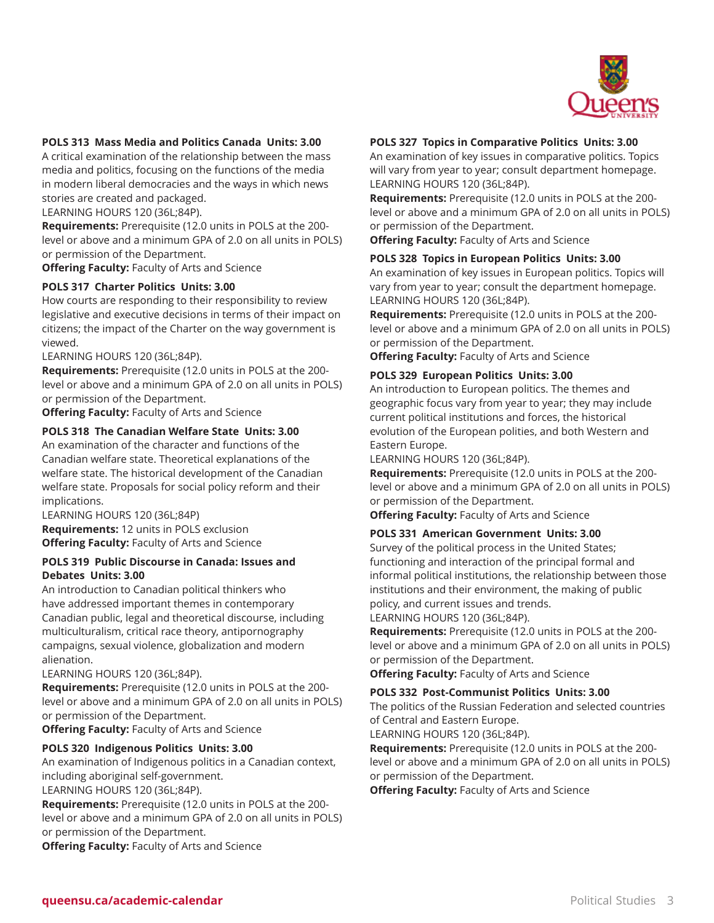

#### **POLS 313 Mass Media and Politics Canada Units: 3.00**

A critical examination of the relationship between the mass media and politics, focusing on the functions of the media in modern liberal democracies and the ways in which news stories are created and packaged.

LEARNING HOURS 120 (36L;84P).

**Requirements:** Prerequisite (12.0 units in POLS at the 200 level or above and a minimum GPA of 2.0 on all units in POLS) or permission of the Department.

**Offering Faculty:** Faculty of Arts and Science

#### **POLS 317 Charter Politics Units: 3.00**

How courts are responding to their responsibility to review legislative and executive decisions in terms of their impact on citizens; the impact of the Charter on the way government is viewed.

LEARNING HOURS 120 (36L;84P).

**Requirements:** Prerequisite (12.0 units in POLS at the 200 level or above and a minimum GPA of 2.0 on all units in POLS) or permission of the Department.

**Offering Faculty:** Faculty of Arts and Science

#### **POLS 318 The Canadian Welfare State Units: 3.00**

An examination of the character and functions of the Canadian welfare state. Theoretical explanations of the welfare state. The historical development of the Canadian welfare state. Proposals for social policy reform and their implications.

LEARNING HOURS 120 (36L;84P) **Requirements:** 12 units in POLS exclusion **Offering Faculty:** Faculty of Arts and Science

## **POLS 319 Public Discourse in Canada: Issues and Debates Units: 3.00**

An introduction to Canadian political thinkers who have addressed important themes in contemporary Canadian public, legal and theoretical discourse, including multiculturalism, critical race theory, antipornography campaigns, sexual violence, globalization and modern alienation.

#### LEARNING HOURS 120 (36L;84P).

**Requirements:** Prerequisite (12.0 units in POLS at the 200 level or above and a minimum GPA of 2.0 on all units in POLS) or permission of the Department.

**Offering Faculty:** Faculty of Arts and Science

#### **POLS 320 Indigenous Politics Units: 3.00**

An examination of Indigenous politics in a Canadian context, including aboriginal self-government.

LEARNING HOURS 120 (36L;84P).

**Requirements:** Prerequisite (12.0 units in POLS at the 200 level or above and a minimum GPA of 2.0 on all units in POLS) or permission of the Department.

**Offering Faculty:** Faculty of Arts and Science

#### **POLS 327 Topics in Comparative Politics Units: 3.00**

An examination of key issues in comparative politics. Topics will vary from year to year; consult department homepage. LEARNING HOURS 120 (36L;84P).

**Requirements:** Prerequisite (12.0 units in POLS at the 200 level or above and a minimum GPA of 2.0 on all units in POLS) or permission of the Department.

**Offering Faculty:** Faculty of Arts and Science

#### **POLS 328 Topics in European Politics Units: 3.00**

An examination of key issues in European politics. Topics will vary from year to year; consult the department homepage. LEARNING HOURS 120 (36L;84P).

**Requirements:** Prerequisite (12.0 units in POLS at the 200 level or above and a minimum GPA of 2.0 on all units in POLS) or permission of the Department.

**Offering Faculty:** Faculty of Arts and Science

#### **POLS 329 European Politics Units: 3.00**

An introduction to European politics. The themes and geographic focus vary from year to year; they may include current political institutions and forces, the historical evolution of the European polities, and both Western and Eastern Europe.

LEARNING HOURS 120 (36L;84P).

**Requirements:** Prerequisite (12.0 units in POLS at the 200 level or above and a minimum GPA of 2.0 on all units in POLS) or permission of the Department.

**Offering Faculty:** Faculty of Arts and Science

#### **POLS 331 American Government Units: 3.00**

Survey of the political process in the United States; functioning and interaction of the principal formal and informal political institutions, the relationship between those institutions and their environment, the making of public policy, and current issues and trends. LEARNING HOURS 120 (36L;84P).

**Requirements:** Prerequisite (12.0 units in POLS at the 200 level or above and a minimum GPA of 2.0 on all units in POLS) or permission of the Department.

**Offering Faculty:** Faculty of Arts and Science

#### **POLS 332 Post-Communist Politics Units: 3.00**

The politics of the Russian Federation and selected countries of Central and Eastern Europe.

LEARNING HOURS 120 (36L;84P).

**Requirements:** Prerequisite (12.0 units in POLS at the 200 level or above and a minimum GPA of 2.0 on all units in POLS) or permission of the Department.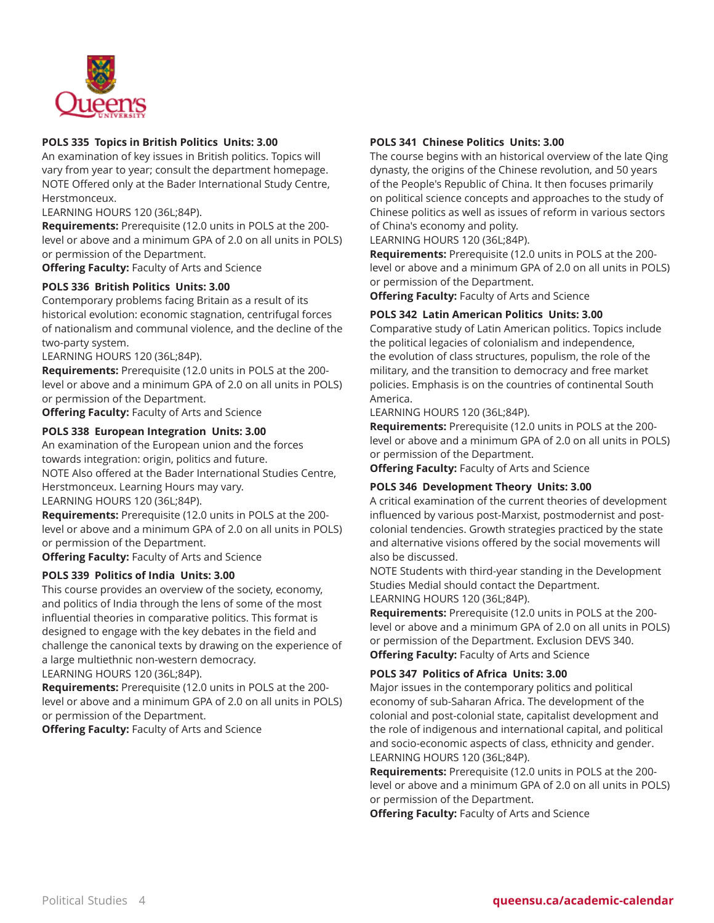

#### **POLS 335 Topics in British Politics Units: 3.00**

An examination of key issues in British politics. Topics will vary from year to year; consult the department homepage. NOTE Offered only at the Bader International Study Centre, Herstmonceux.

LEARNING HOURS 120 (36L;84P).

**Requirements:** Prerequisite (12.0 units in POLS at the 200 level or above and a minimum GPA of 2.0 on all units in POLS) or permission of the Department.

**Offering Faculty:** Faculty of Arts and Science

#### **POLS 336 British Politics Units: 3.00**

Contemporary problems facing Britain as a result of its historical evolution: economic stagnation, centrifugal forces of nationalism and communal violence, and the decline of the two-party system.

LEARNING HOURS 120 (36L;84P).

**Requirements:** Prerequisite (12.0 units in POLS at the 200 level or above and a minimum GPA of 2.0 on all units in POLS) or permission of the Department.

**Offering Faculty:** Faculty of Arts and Science

#### **POLS 338 European Integration Units: 3.00**

An examination of the European union and the forces towards integration: origin, politics and future. NOTE Also offered at the Bader International Studies Centre, Herstmonceux. Learning Hours may vary. LEARNING HOURS 120 (36L;84P).

**Requirements:** Prerequisite (12.0 units in POLS at the 200 level or above and a minimum GPA of 2.0 on all units in POLS) or permission of the Department.

**Offering Faculty:** Faculty of Arts and Science

#### **POLS 339 Politics of India Units: 3.00**

This course provides an overview of the society, economy, and politics of India through the lens of some of the most influential theories in comparative politics. This format is designed to engage with the key debates in the field and challenge the canonical texts by drawing on the experience of a large multiethnic non-western democracy.

## LEARNING HOURS 120 (36L;84P).

**Requirements:** Prerequisite (12.0 units in POLS at the 200 level or above and a minimum GPA of 2.0 on all units in POLS) or permission of the Department.

**Offering Faculty:** Faculty of Arts and Science

#### **POLS 341 Chinese Politics Units: 3.00**

The course begins with an historical overview of the late Qing dynasty, the origins of the Chinese revolution, and 50 years of the People's Republic of China. It then focuses primarily on political science concepts and approaches to the study of Chinese politics as well as issues of reform in various sectors of China's economy and polity.

LEARNING HOURS 120 (36L;84P).

**Requirements:** Prerequisite (12.0 units in POLS at the 200 level or above and a minimum GPA of 2.0 on all units in POLS) or permission of the Department.

**Offering Faculty:** Faculty of Arts and Science

#### **POLS 342 Latin American Politics Units: 3.00**

Comparative study of Latin American politics. Topics include the political legacies of colonialism and independence, the evolution of class structures, populism, the role of the military, and the transition to democracy and free market policies. Emphasis is on the countries of continental South America.

LEARNING HOURS 120 (36L;84P).

**Requirements:** Prerequisite (12.0 units in POLS at the 200 level or above and a minimum GPA of 2.0 on all units in POLS) or permission of the Department.

**Offering Faculty:** Faculty of Arts and Science

## **POLS 346 Development Theory Units: 3.00**

A critical examination of the current theories of development influenced by various post-Marxist, postmodernist and postcolonial tendencies. Growth strategies practiced by the state and alternative visions offered by the social movements will also be discussed.

NOTE Students with third-year standing in the Development Studies Medial should contact the Department. LEARNING HOURS 120 (36L;84P).

**Requirements:** Prerequisite (12.0 units in POLS at the 200 level or above and a minimum GPA of 2.0 on all units in POLS) or permission of the Department. Exclusion DEVS 340. **Offering Faculty:** Faculty of Arts and Science

#### **POLS 347 Politics of Africa Units: 3.00**

Major issues in the contemporary politics and political economy of sub-Saharan Africa. The development of the colonial and post-colonial state, capitalist development and the role of indigenous and international capital, and political and socio-economic aspects of class, ethnicity and gender. LEARNING HOURS 120 (36L;84P).

**Requirements:** Prerequisite (12.0 units in POLS at the 200 level or above and a minimum GPA of 2.0 on all units in POLS) or permission of the Department.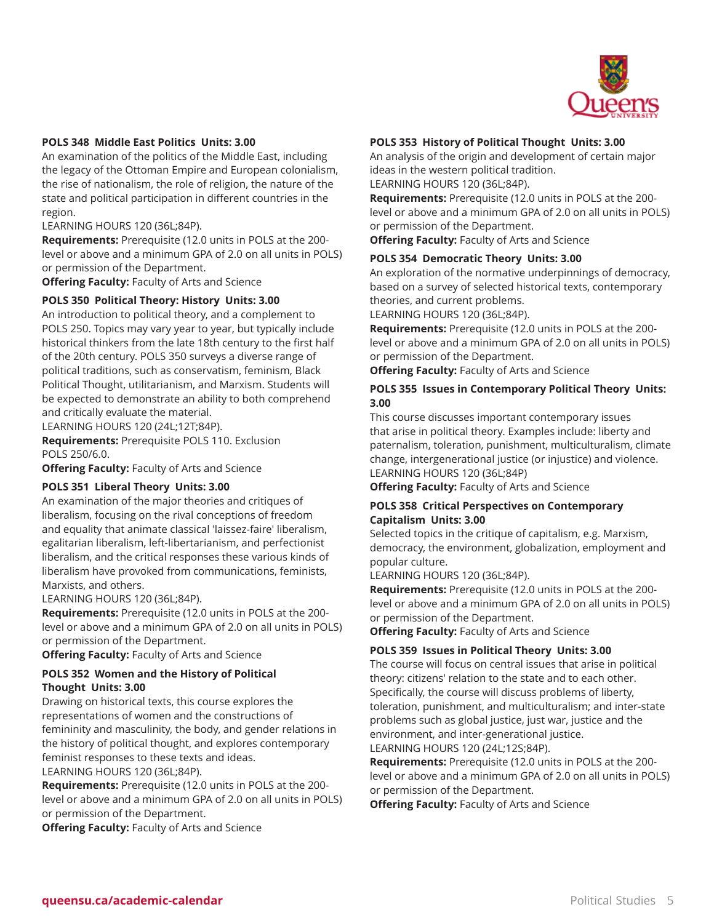

#### **POLS 348 Middle East Politics Units: 3.00**

An examination of the politics of the Middle East, including the legacy of the Ottoman Empire and European colonialism, the rise of nationalism, the role of religion, the nature of the state and political participation in different countries in the region.

LEARNING HOURS 120 (36L;84P).

**Requirements:** Prerequisite (12.0 units in POLS at the 200 level or above and a minimum GPA of 2.0 on all units in POLS) or permission of the Department.

**Offering Faculty:** Faculty of Arts and Science

# **POLS 350 Political Theory: History Units: 3.00**

An introduction to political theory, and a complement to POLS 250. Topics may vary year to year, but typically include historical thinkers from the late 18th century to the first half of the 20th century. POLS 350 surveys a diverse range of political traditions, such as conservatism, feminism, Black Political Thought, utilitarianism, and Marxism. Students will be expected to demonstrate an ability to both comprehend and critically evaluate the material.

LEARNING HOURS 120 (24L;12T;84P).

**Requirements:** Prerequisite POLS 110. Exclusion POLS 250/6.0.

**Offering Faculty:** Faculty of Arts and Science

#### **POLS 351 Liberal Theory Units: 3.00**

An examination of the major theories and critiques of liberalism, focusing on the rival conceptions of freedom and equality that animate classical 'laissez-faire' liberalism, egalitarian liberalism, left-libertarianism, and perfectionist liberalism, and the critical responses these various kinds of liberalism have provoked from communications, feminists, Marxists, and others.

LEARNING HOURS 120 (36L;84P).

**Requirements:** Prerequisite (12.0 units in POLS at the 200 level or above and a minimum GPA of 2.0 on all units in POLS) or permission of the Department.

**Offering Faculty:** Faculty of Arts and Science

#### **POLS 352 Women and the History of Political Thought Units: 3.00**

Drawing on historical texts, this course explores the representations of women and the constructions of femininity and masculinity, the body, and gender relations in the history of political thought, and explores contemporary feminist responses to these texts and ideas. LEARNING HOURS 120 (36L;84P).

**Requirements:** Prerequisite (12.0 units in POLS at the 200 level or above and a minimum GPA of 2.0 on all units in POLS) or permission of the Department.

**Offering Faculty:** Faculty of Arts and Science

#### **POLS 353 History of Political Thought Units: 3.00**

An analysis of the origin and development of certain major ideas in the western political tradition.

LEARNING HOURS 120 (36L;84P).

**Requirements:** Prerequisite (12.0 units in POLS at the 200 level or above and a minimum GPA of 2.0 on all units in POLS) or permission of the Department.

**Offering Faculty:** Faculty of Arts and Science

#### **POLS 354 Democratic Theory Units: 3.00**

An exploration of the normative underpinnings of democracy, based on a survey of selected historical texts, contemporary theories, and current problems.

LEARNING HOURS 120 (36L;84P).

**Requirements:** Prerequisite (12.0 units in POLS at the 200 level or above and a minimum GPA of 2.0 on all units in POLS) or permission of the Department.

**Offering Faculty:** Faculty of Arts and Science

#### **POLS 355 Issues in Contemporary Political Theory Units: 3.00**

This course discusses important contemporary issues that arise in political theory. Examples include: liberty and paternalism, toleration, punishment, multiculturalism, climate change, intergenerational justice (or injustice) and violence. LEARNING HOURS 120 (36L;84P)

**Offering Faculty:** Faculty of Arts and Science

## **POLS 358 Critical Perspectives on Contemporary Capitalism Units: 3.00**

Selected topics in the critique of capitalism, e.g. Marxism, democracy, the environment, globalization, employment and popular culture.

LEARNING HOURS 120 (36L;84P).

**Requirements:** Prerequisite (12.0 units in POLS at the 200 level or above and a minimum GPA of 2.0 on all units in POLS) or permission of the Department.

**Offering Faculty:** Faculty of Arts and Science

#### **POLS 359 Issues in Political Theory Units: 3.00**

The course will focus on central issues that arise in political theory: citizens' relation to the state and to each other. Specifically, the course will discuss problems of liberty, toleration, punishment, and multiculturalism; and inter-state problems such as global justice, just war, justice and the environment, and inter-generational justice. LEARNING HOURS 120 (24L;12S;84P).

**Requirements:** Prerequisite (12.0 units in POLS at the 200 level or above and a minimum GPA of 2.0 on all units in POLS) or permission of the Department.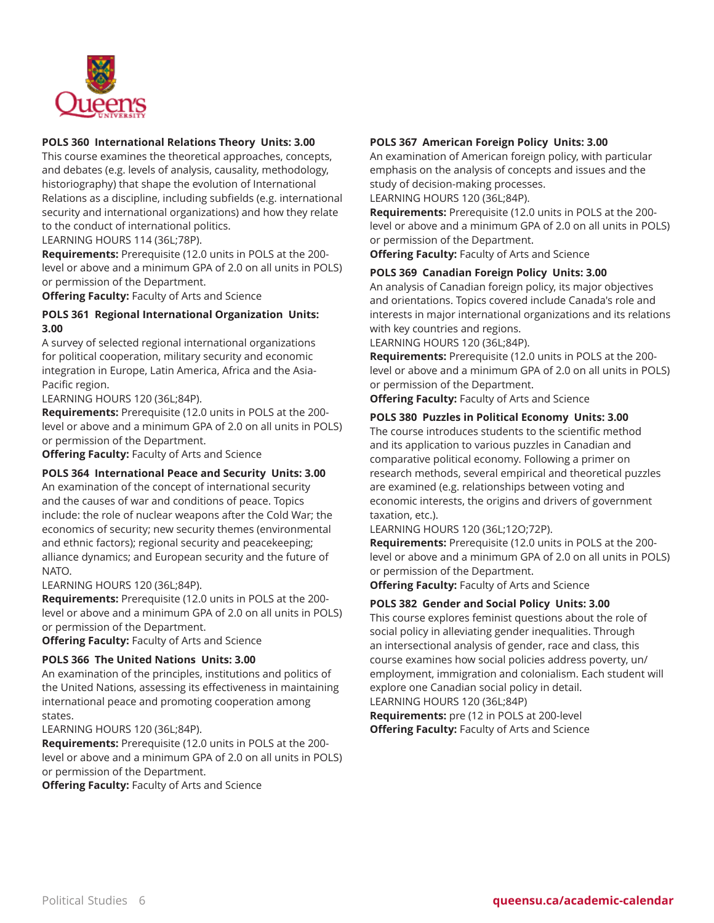

## **POLS 360 International Relations Theory Units: 3.00**

This course examines the theoretical approaches, concepts, and debates (e.g. levels of analysis, causality, methodology, historiography) that shape the evolution of International Relations as a discipline, including subfields (e.g. international security and international organizations) and how they relate to the conduct of international politics.

LEARNING HOURS 114 (36L;78P).

**Requirements:** Prerequisite (12.0 units in POLS at the 200 level or above and a minimum GPA of 2.0 on all units in POLS) or permission of the Department.

**Offering Faculty:** Faculty of Arts and Science

#### **POLS 361 Regional International Organization Units: 3.00**

A survey of selected regional international organizations for political cooperation, military security and economic integration in Europe, Latin America, Africa and the Asia-Pacific region.

LEARNING HOURS 120 (36L;84P).

**Requirements:** Prerequisite (12.0 units in POLS at the 200 level or above and a minimum GPA of 2.0 on all units in POLS) or permission of the Department.

**Offering Faculty:** Faculty of Arts and Science

#### **POLS 364 International Peace and Security Units: 3.00**

An examination of the concept of international security and the causes of war and conditions of peace. Topics include: the role of nuclear weapons after the Cold War; the economics of security; new security themes (environmental and ethnic factors); regional security and peacekeeping; alliance dynamics; and European security and the future of NATO.

LEARNING HOURS 120 (36L;84P).

**Requirements:** Prerequisite (12.0 units in POLS at the 200 level or above and a minimum GPA of 2.0 on all units in POLS) or permission of the Department.

**Offering Faculty:** Faculty of Arts and Science

#### **POLS 366 The United Nations Units: 3.00**

An examination of the principles, institutions and politics of the United Nations, assessing its effectiveness in maintaining international peace and promoting cooperation among states.

LEARNING HOURS 120 (36L;84P).

**Requirements:** Prerequisite (12.0 units in POLS at the 200 level or above and a minimum GPA of 2.0 on all units in POLS) or permission of the Department.

**Offering Faculty:** Faculty of Arts and Science

## **POLS 367 American Foreign Policy Units: 3.00**

An examination of American foreign policy, with particular emphasis on the analysis of concepts and issues and the study of decision-making processes.

LEARNING HOURS 120 (36L;84P).

**Requirements:** Prerequisite (12.0 units in POLS at the 200 level or above and a minimum GPA of 2.0 on all units in POLS) or permission of the Department.

**Offering Faculty:** Faculty of Arts and Science

#### **POLS 369 Canadian Foreign Policy Units: 3.00**

An analysis of Canadian foreign policy, its major objectives and orientations. Topics covered include Canada's role and interests in major international organizations and its relations with key countries and regions.

LEARNING HOURS 120 (36L;84P).

**Requirements:** Prerequisite (12.0 units in POLS at the 200 level or above and a minimum GPA of 2.0 on all units in POLS) or permission of the Department.

**Offering Faculty:** Faculty of Arts and Science

#### **POLS 380 Puzzles in Political Economy Units: 3.00**

The course introduces students to the scientific method and its application to various puzzles in Canadian and comparative political economy. Following a primer on research methods, several empirical and theoretical puzzles are examined (e.g. relationships between voting and economic interests, the origins and drivers of government taxation, etc.).

LEARNING HOURS 120 (36L;12O;72P).

**Requirements:** Prerequisite (12.0 units in POLS at the 200 level or above and a minimum GPA of 2.0 on all units in POLS) or permission of the Department.

**Offering Faculty:** Faculty of Arts and Science

#### **POLS 382 Gender and Social Policy Units: 3.00**

This course explores feminist questions about the role of social policy in alleviating gender inequalities. Through an intersectional analysis of gender, race and class, this course examines how social policies address poverty, un/ employment, immigration and colonialism. Each student will explore one Canadian social policy in detail.

LEARNING HOURS 120 (36L;84P)

**Requirements:** pre (12 in POLS at 200-level **Offering Faculty:** Faculty of Arts and Science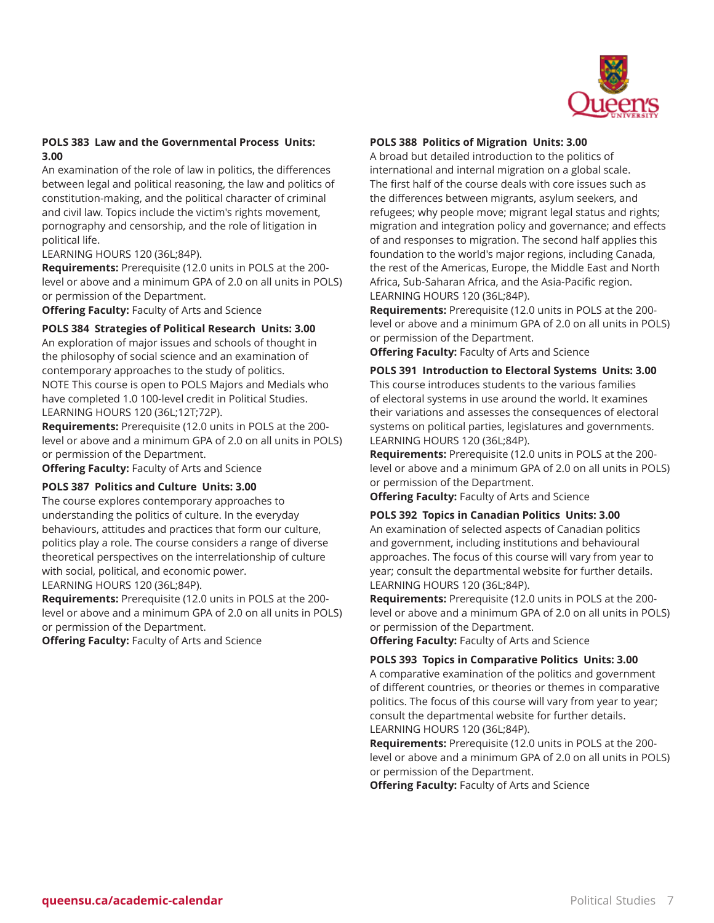

## **POLS 383 Law and the Governmental Process Units: 3.00**

An examination of the role of law in politics, the differences between legal and political reasoning, the law and politics of constitution-making, and the political character of criminal and civil law. Topics include the victim's rights movement, pornography and censorship, and the role of litigation in political life.

LEARNING HOURS 120 (36L;84P).

**Requirements:** Prerequisite (12.0 units in POLS at the 200 level or above and a minimum GPA of 2.0 on all units in POLS) or permission of the Department.

**Offering Faculty:** Faculty of Arts and Science

**POLS 384 Strategies of Political Research Units: 3.00**

An exploration of major issues and schools of thought in the philosophy of social science and an examination of contemporary approaches to the study of politics. NOTE This course is open to POLS Majors and Medials who have completed 1.0 100-level credit in Political Studies. LEARNING HOURS 120 (36L;12T;72P).

**Requirements:** Prerequisite (12.0 units in POLS at the 200 level or above and a minimum GPA of 2.0 on all units in POLS) or permission of the Department.

**Offering Faculty:** Faculty of Arts and Science

#### **POLS 387 Politics and Culture Units: 3.00**

The course explores contemporary approaches to understanding the politics of culture. In the everyday behaviours, attitudes and practices that form our culture, politics play a role. The course considers a range of diverse theoretical perspectives on the interrelationship of culture with social, political, and economic power.

LEARNING HOURS 120 (36L;84P).

**Requirements:** Prerequisite (12.0 units in POLS at the 200 level or above and a minimum GPA of 2.0 on all units in POLS) or permission of the Department.

**Offering Faculty:** Faculty of Arts and Science

## **POLS 388 Politics of Migration Units: 3.00**

A broad but detailed introduction to the politics of international and internal migration on a global scale. The first half of the course deals with core issues such as the differences between migrants, asylum seekers, and refugees; why people move; migrant legal status and rights; migration and integration policy and governance; and effects of and responses to migration. The second half applies this foundation to the world's major regions, including Canada, the rest of the Americas, Europe, the Middle East and North Africa, Sub-Saharan Africa, and the Asia-Pacific region. LEARNING HOURS 120 (36L;84P).

**Requirements:** Prerequisite (12.0 units in POLS at the 200 level or above and a minimum GPA of 2.0 on all units in POLS) or permission of the Department.

**Offering Faculty:** Faculty of Arts and Science

**POLS 391 Introduction to Electoral Systems Units: 3.00** This course introduces students to the various families of electoral systems in use around the world. It examines their variations and assesses the consequences of electoral systems on political parties, legislatures and governments. LEARNING HOURS 120 (36L;84P).

**Requirements:** Prerequisite (12.0 units in POLS at the 200 level or above and a minimum GPA of 2.0 on all units in POLS) or permission of the Department.

**Offering Faculty:** Faculty of Arts and Science

#### **POLS 392 Topics in Canadian Politics Units: 3.00**

An examination of selected aspects of Canadian politics and government, including institutions and behavioural approaches. The focus of this course will vary from year to year; consult the departmental website for further details. LEARNING HOURS 120 (36L;84P).

**Requirements:** Prerequisite (12.0 units in POLS at the 200 level or above and a minimum GPA of 2.0 on all units in POLS) or permission of the Department.

**Offering Faculty:** Faculty of Arts and Science

#### **POLS 393 Topics in Comparative Politics Units: 3.00**

A comparative examination of the politics and government of different countries, or theories or themes in comparative politics. The focus of this course will vary from year to year; consult the departmental website for further details. LEARNING HOURS 120 (36L;84P).

**Requirements:** Prerequisite (12.0 units in POLS at the 200 level or above and a minimum GPA of 2.0 on all units in POLS) or permission of the Department.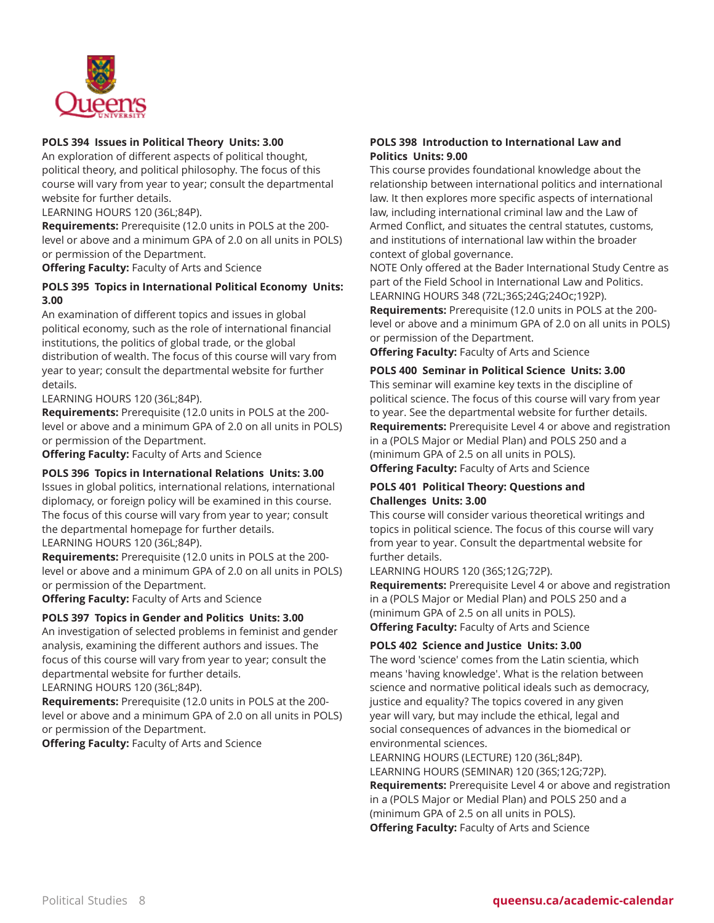

## **POLS 394 Issues in Political Theory Units: 3.00**

An exploration of different aspects of political thought, political theory, and political philosophy. The focus of this course will vary from year to year; consult the departmental website for further details.

LEARNING HOURS 120 (36L;84P).

**Requirements:** Prerequisite (12.0 units in POLS at the 200 level or above and a minimum GPA of 2.0 on all units in POLS) or permission of the Department.

**Offering Faculty:** Faculty of Arts and Science

## **POLS 395 Topics in International Political Economy Units: 3.00**

An examination of different topics and issues in global political economy, such as the role of international financial institutions, the politics of global trade, or the global distribution of wealth. The focus of this course will vary from year to year; consult the departmental website for further details.

LEARNING HOURS 120 (36L;84P).

**Requirements:** Prerequisite (12.0 units in POLS at the 200 level or above and a minimum GPA of 2.0 on all units in POLS) or permission of the Department.

**Offering Faculty:** Faculty of Arts and Science

#### **POLS 396 Topics in International Relations Units: 3.00**

Issues in global politics, international relations, international diplomacy, or foreign policy will be examined in this course. The focus of this course will vary from year to year; consult the departmental homepage for further details. LEARNING HOURS 120 (36L;84P).

**Requirements:** Prerequisite (12.0 units in POLS at the 200 level or above and a minimum GPA of 2.0 on all units in POLS) or permission of the Department.

**Offering Faculty:** Faculty of Arts and Science

#### **POLS 397 Topics in Gender and Politics Units: 3.00**

An investigation of selected problems in feminist and gender analysis, examining the different authors and issues. The focus of this course will vary from year to year; consult the departmental website for further details. LEARNING HOURS 120 (36L;84P).

**Requirements:** Prerequisite (12.0 units in POLS at the 200 level or above and a minimum GPA of 2.0 on all units in POLS) or permission of the Department.

**Offering Faculty:** Faculty of Arts and Science

## **POLS 398 Introduction to International Law and Politics Units: 9.00**

This course provides foundational knowledge about the relationship between international politics and international law. It then explores more specific aspects of international law, including international criminal law and the Law of Armed Conflict, and situates the central statutes, customs, and institutions of international law within the broader context of global governance.

NOTE Only offered at the Bader International Study Centre as part of the Field School in International Law and Politics. LEARNING HOURS 348 (72L;36S;24G;24Oc;192P).

**Requirements:** Prerequisite (12.0 units in POLS at the 200 level or above and a minimum GPA of 2.0 on all units in POLS) or permission of the Department.

**Offering Faculty:** Faculty of Arts and Science

#### **POLS 400 Seminar in Political Science Units: 3.00**

This seminar will examine key texts in the discipline of political science. The focus of this course will vary from year to year. See the departmental website for further details. **Requirements:** Prerequisite Level 4 or above and registration in a (POLS Major or Medial Plan) and POLS 250 and a (minimum GPA of 2.5 on all units in POLS). **Offering Faculty:** Faculty of Arts and Science

#### **POLS 401 Political Theory: Questions and Challenges Units: 3.00**

This course will consider various theoretical writings and topics in political science. The focus of this course will vary from year to year. Consult the departmental website for further details.

#### LEARNING HOURS 120 (36S;12G;72P).

**Requirements:** Prerequisite Level 4 or above and registration in a (POLS Major or Medial Plan) and POLS 250 and a (minimum GPA of 2.5 on all units in POLS). **Offering Faculty:** Faculty of Arts and Science

#### **POLS 402 Science and Justice Units: 3.00**

The word 'science' comes from the Latin scientia, which means 'having knowledge'. What is the relation between science and normative political ideals such as democracy, justice and equality? The topics covered in any given year will vary, but may include the ethical, legal and social consequences of advances in the biomedical or environmental sciences.

LEARNING HOURS (LECTURE) 120 (36L;84P). LEARNING HOURS (SEMINAR) 120 (36S;12G;72P). **Requirements:** Prerequisite Level 4 or above and registration in a (POLS Major or Medial Plan) and POLS 250 and a (minimum GPA of 2.5 on all units in POLS). **Offering Faculty:** Faculty of Arts and Science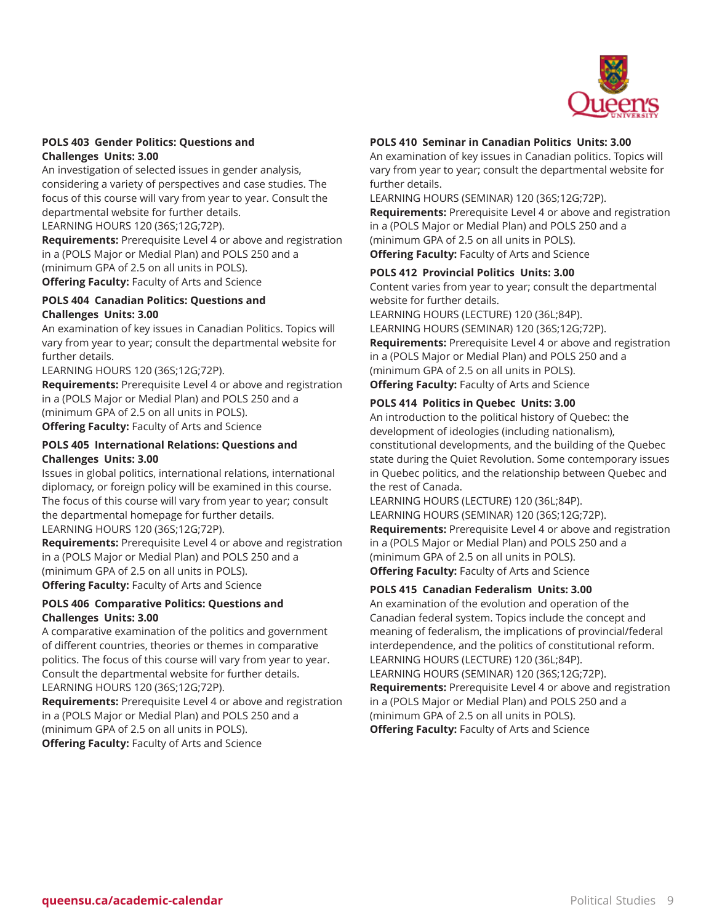

#### **POLS 403 Gender Politics: Questions and Challenges Units: 3.00**

An investigation of selected issues in gender analysis, considering a variety of perspectives and case studies. The focus of this course will vary from year to year. Consult the departmental website for further details.

LEARNING HOURS 120 (36S;12G;72P).

**Requirements:** Prerequisite Level 4 or above and registration in a (POLS Major or Medial Plan) and POLS 250 and a (minimum GPA of 2.5 on all units in POLS). **Offering Faculty:** Faculty of Arts and Science

## **POLS 404 Canadian Politics: Questions and Challenges Units: 3.00**

An examination of key issues in Canadian Politics. Topics will vary from year to year; consult the departmental website for further details.

LEARNING HOURS 120 (36S;12G;72P).

**Requirements:** Prerequisite Level 4 or above and registration in a (POLS Major or Medial Plan) and POLS 250 and a (minimum GPA of 2.5 on all units in POLS). **Offering Faculty:** Faculty of Arts and Science

# **POLS 405 International Relations: Questions and Challenges Units: 3.00**

Issues in global politics, international relations, international diplomacy, or foreign policy will be examined in this course. The focus of this course will vary from year to year; consult the departmental homepage for further details. LEARNING HOURS 120 (36S;12G;72P).

**Requirements:** Prerequisite Level 4 or above and registration in a (POLS Major or Medial Plan) and POLS 250 and a (minimum GPA of 2.5 on all units in POLS). **Offering Faculty:** Faculty of Arts and Science

## **POLS 406 Comparative Politics: Questions and Challenges Units: 3.00**

A comparative examination of the politics and government of different countries, theories or themes in comparative politics. The focus of this course will vary from year to year. Consult the departmental website for further details. LEARNING HOURS 120 (36S;12G;72P).

**Requirements:** Prerequisite Level 4 or above and registration in a (POLS Major or Medial Plan) and POLS 250 and a (minimum GPA of 2.5 on all units in POLS). **Offering Faculty:** Faculty of Arts and Science

## **POLS 410 Seminar in Canadian Politics Units: 3.00**

An examination of key issues in Canadian politics. Topics will vary from year to year; consult the departmental website for further details.

LEARNING HOURS (SEMINAR) 120 (36S;12G;72P).

**Requirements:** Prerequisite Level 4 or above and registration in a (POLS Major or Medial Plan) and POLS 250 and a (minimum GPA of 2.5 on all units in POLS). **Offering Faculty:** Faculty of Arts and Science

## **POLS 412 Provincial Politics Units: 3.00**

Content varies from year to year; consult the departmental website for further details.

LEARNING HOURS (LECTURE) 120 (36L;84P). LEARNING HOURS (SEMINAR) 120 (36S;12G;72P). **Requirements:** Prerequisite Level 4 or above and registration in a (POLS Major or Medial Plan) and POLS 250 and a (minimum GPA of 2.5 on all units in POLS). **Offering Faculty:** Faculty of Arts and Science

## **POLS 414 Politics in Quebec Units: 3.00**

An introduction to the political history of Quebec: the development of ideologies (including nationalism), constitutional developments, and the building of the Quebec state during the Quiet Revolution. Some contemporary issues in Quebec politics, and the relationship between Quebec and the rest of Canada.

LEARNING HOURS (LECTURE) 120 (36L;84P).

LEARNING HOURS (SEMINAR) 120 (36S;12G;72P).

**Requirements:** Prerequisite Level 4 or above and registration in a (POLS Major or Medial Plan) and POLS 250 and a (minimum GPA of 2.5 on all units in POLS).

**Offering Faculty:** Faculty of Arts and Science

## **POLS 415 Canadian Federalism Units: 3.00**

An examination of the evolution and operation of the Canadian federal system. Topics include the concept and meaning of federalism, the implications of provincial/federal interdependence, and the politics of constitutional reform. LEARNING HOURS (LECTURE) 120 (36L;84P).

LEARNING HOURS (SEMINAR) 120 (36S;12G;72P). **Requirements:** Prerequisite Level 4 or above and registration in a (POLS Major or Medial Plan) and POLS 250 and a (minimum GPA of 2.5 on all units in POLS). **Offering Faculty:** Faculty of Arts and Science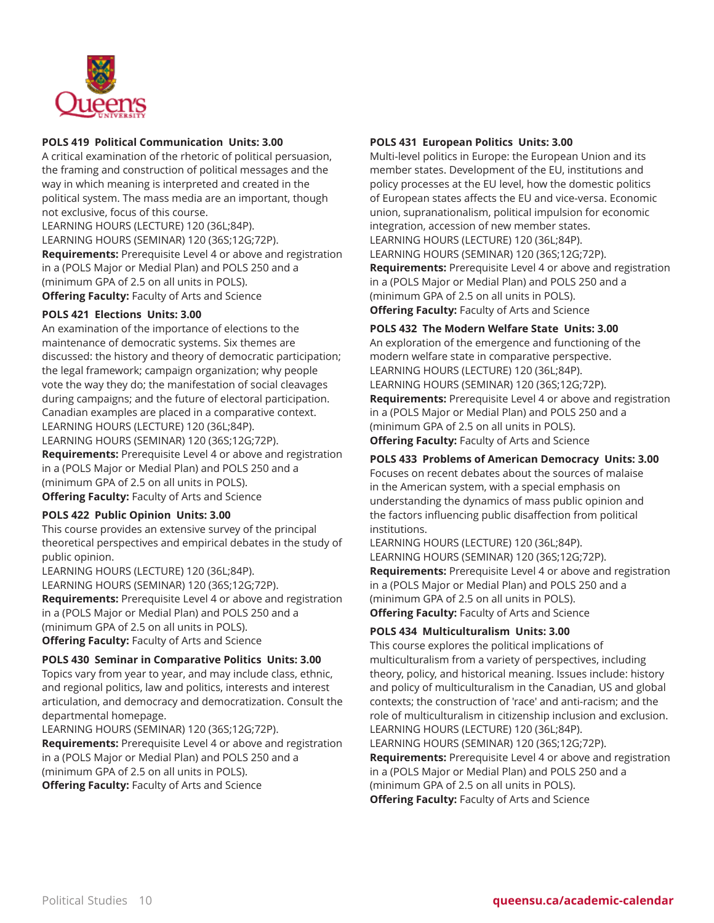

## **POLS 419 Political Communication Units: 3.00**

A critical examination of the rhetoric of political persuasion, the framing and construction of political messages and the way in which meaning is interpreted and created in the political system. The mass media are an important, though not exclusive, focus of this course.

LEARNING HOURS (LECTURE) 120 (36L;84P). LEARNING HOURS (SEMINAR) 120 (36S;12G;72P). **Requirements:** Prerequisite Level 4 or above and registration in a (POLS Major or Medial Plan) and POLS 250 and a (minimum GPA of 2.5 on all units in POLS). **Offering Faculty:** Faculty of Arts and Science

## **POLS 421 Elections Units: 3.00**

An examination of the importance of elections to the maintenance of democratic systems. Six themes are discussed: the history and theory of democratic participation; the legal framework; campaign organization; why people vote the way they do; the manifestation of social cleavages during campaigns; and the future of electoral participation. Canadian examples are placed in a comparative context. LEARNING HOURS (LECTURE) 120 (36L;84P).

LEARNING HOURS (SEMINAR) 120 (36S;12G;72P). **Requirements:** Prerequisite Level 4 or above and registration in a (POLS Major or Medial Plan) and POLS 250 and a (minimum GPA of 2.5 on all units in POLS). **Offering Faculty:** Faculty of Arts and Science

#### **POLS 422 Public Opinion Units: 3.00**

This course provides an extensive survey of the principal theoretical perspectives and empirical debates in the study of public opinion.

LEARNING HOURS (LECTURE) 120 (36L;84P). LEARNING HOURS (SEMINAR) 120 (36S;12G;72P). **Requirements:** Prerequisite Level 4 or above and registration in a (POLS Major or Medial Plan) and POLS 250 and a (minimum GPA of 2.5 on all units in POLS). **Offering Faculty:** Faculty of Arts and Science

## **POLS 430 Seminar in Comparative Politics Units: 3.00**

Topics vary from year to year, and may include class, ethnic, and regional politics, law and politics, interests and interest articulation, and democracy and democratization. Consult the departmental homepage.

LEARNING HOURS (SEMINAR) 120 (36S;12G;72P). **Requirements:** Prerequisite Level 4 or above and registration in a (POLS Major or Medial Plan) and POLS 250 and a (minimum GPA of 2.5 on all units in POLS). **Offering Faculty:** Faculty of Arts and Science

## **POLS 431 European Politics Units: 3.00**

Multi-level politics in Europe: the European Union and its member states. Development of the EU, institutions and policy processes at the EU level, how the domestic politics of European states affects the EU and vice-versa. Economic union, supranationalism, political impulsion for economic integration, accession of new member states. LEARNING HOURS (LECTURE) 120 (36L;84P). LEARNING HOURS (SEMINAR) 120 (36S;12G;72P). **Requirements:** Prerequisite Level 4 or above and registration in a (POLS Major or Medial Plan) and POLS 250 and a (minimum GPA of 2.5 on all units in POLS). **Offering Faculty:** Faculty of Arts and Science

**POLS 432 The Modern Welfare State Units: 3.00**

An exploration of the emergence and functioning of the modern welfare state in comparative perspective. LEARNING HOURS (LECTURE) 120 (36L;84P). LEARNING HOURS (SEMINAR) 120 (36S;12G;72P). **Requirements:** Prerequisite Level 4 or above and registration in a (POLS Major or Medial Plan) and POLS 250 and a (minimum GPA of 2.5 on all units in POLS). **Offering Faculty:** Faculty of Arts and Science

## **POLS 433 Problems of American Democracy Units: 3.00**

Focuses on recent debates about the sources of malaise in the American system, with a special emphasis on understanding the dynamics of mass public opinion and the factors influencing public disaffection from political institutions.

LEARNING HOURS (LECTURE) 120 (36L;84P). LEARNING HOURS (SEMINAR) 120 (36S;12G;72P). **Requirements:** Prerequisite Level 4 or above and registration in a (POLS Major or Medial Plan) and POLS 250 and a (minimum GPA of 2.5 on all units in POLS). **Offering Faculty:** Faculty of Arts and Science

#### **POLS 434 Multiculturalism Units: 3.00**

This course explores the political implications of multiculturalism from a variety of perspectives, including theory, policy, and historical meaning. Issues include: history and policy of multiculturalism in the Canadian, US and global contexts; the construction of 'race' and anti-racism; and the role of multiculturalism in citizenship inclusion and exclusion. LEARNING HOURS (LECTURE) 120 (36L;84P). LEARNING HOURS (SEMINAR) 120 (36S;12G;72P).

**Requirements:** Prerequisite Level 4 or above and registration in a (POLS Major or Medial Plan) and POLS 250 and a (minimum GPA of 2.5 on all units in POLS). **Offering Faculty:** Faculty of Arts and Science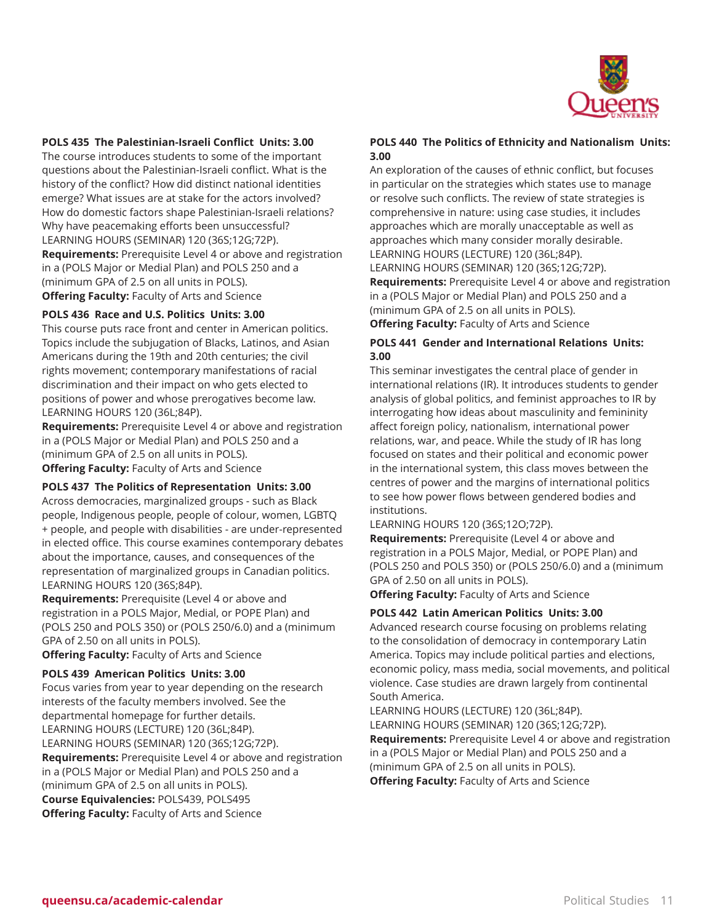

#### **POLS 435 The Palestinian-Israeli Conflict Units: 3.00**

The course introduces students to some of the important questions about the Palestinian-Israeli conflict. What is the history of the conflict? How did distinct national identities emerge? What issues are at stake for the actors involved? How do domestic factors shape Palestinian-Israeli relations? Why have peacemaking efforts been unsuccessful? LEARNING HOURS (SEMINAR) 120 (36S;12G;72P). **Requirements:** Prerequisite Level 4 or above and registration in a (POLS Major or Medial Plan) and POLS 250 and a (minimum GPA of 2.5 on all units in POLS). **Offering Faculty:** Faculty of Arts and Science

#### **POLS 436 Race and U.S. Politics Units: 3.00**

This course puts race front and center in American politics. Topics include the subjugation of Blacks, Latinos, and Asian Americans during the 19th and 20th centuries; the civil rights movement; contemporary manifestations of racial discrimination and their impact on who gets elected to positions of power and whose prerogatives become law. LEARNING HOURS 120 (36L;84P).

**Requirements:** Prerequisite Level 4 or above and registration in a (POLS Major or Medial Plan) and POLS 250 and a (minimum GPA of 2.5 on all units in POLS). **Offering Faculty:** Faculty of Arts and Science

# **POLS 437 The Politics of Representation Units: 3.00**

Across democracies, marginalized groups - such as Black people, Indigenous people, people of colour, women, LGBTQ + people, and people with disabilities - are under-represented in elected office. This course examines contemporary debates about the importance, causes, and consequences of the representation of marginalized groups in Canadian politics. LEARNING HOURS 120 (36S;84P).

**Requirements:** Prerequisite (Level 4 or above and registration in a POLS Major, Medial, or POPE Plan) and (POLS 250 and POLS 350) or (POLS 250/6.0) and a (minimum GPA of 2.50 on all units in POLS).

**Offering Faculty:** Faculty of Arts and Science

#### **POLS 439 American Politics Units: 3.00**

Focus varies from year to year depending on the research interests of the faculty members involved. See the departmental homepage for further details. LEARNING HOURS (LECTURE) 120 (36L;84P). LEARNING HOURS (SEMINAR) 120 (36S;12G;72P). **Requirements:** Prerequisite Level 4 or above and registration in a (POLS Major or Medial Plan) and POLS 250 and a (minimum GPA of 2.5 on all units in POLS). **Course Equivalencies:** POLS439, POLS495 **Offering Faculty:** Faculty of Arts and Science

#### **POLS 440 The Politics of Ethnicity and Nationalism Units: 3.00**

An exploration of the causes of ethnic conflict, but focuses in particular on the strategies which states use to manage or resolve such conflicts. The review of state strategies is comprehensive in nature: using case studies, it includes approaches which are morally unacceptable as well as approaches which many consider morally desirable. LEARNING HOURS (LECTURE) 120 (36L;84P). LEARNING HOURS (SEMINAR) 120 (36S;12G;72P).

**Requirements:** Prerequisite Level 4 or above and registration in a (POLS Major or Medial Plan) and POLS 250 and a (minimum GPA of 2.5 on all units in POLS).

**Offering Faculty:** Faculty of Arts and Science

## **POLS 441 Gender and International Relations Units: 3.00**

This seminar investigates the central place of gender in international relations (IR). It introduces students to gender analysis of global politics, and feminist approaches to IR by interrogating how ideas about masculinity and femininity affect foreign policy, nationalism, international power relations, war, and peace. While the study of IR has long focused on states and their political and economic power in the international system, this class moves between the centres of power and the margins of international politics to see how power flows between gendered bodies and institutions.

LEARNING HOURS 120 (36S;12O;72P).

**Requirements:** Prerequisite (Level 4 or above and registration in a POLS Major, Medial, or POPE Plan) and (POLS 250 and POLS 350) or (POLS 250/6.0) and a (minimum GPA of 2.50 on all units in POLS).

**Offering Faculty:** Faculty of Arts and Science

#### **POLS 442 Latin American Politics Units: 3.00**

Advanced research course focusing on problems relating to the consolidation of democracy in contemporary Latin America. Topics may include political parties and elections, economic policy, mass media, social movements, and political violence. Case studies are drawn largely from continental South America.

LEARNING HOURS (LECTURE) 120 (36L;84P). LEARNING HOURS (SEMINAR) 120 (36S;12G;72P). **Requirements:** Prerequisite Level 4 or above and registration in a (POLS Major or Medial Plan) and POLS 250 and a (minimum GPA of 2.5 on all units in POLS). **Offering Faculty:** Faculty of Arts and Science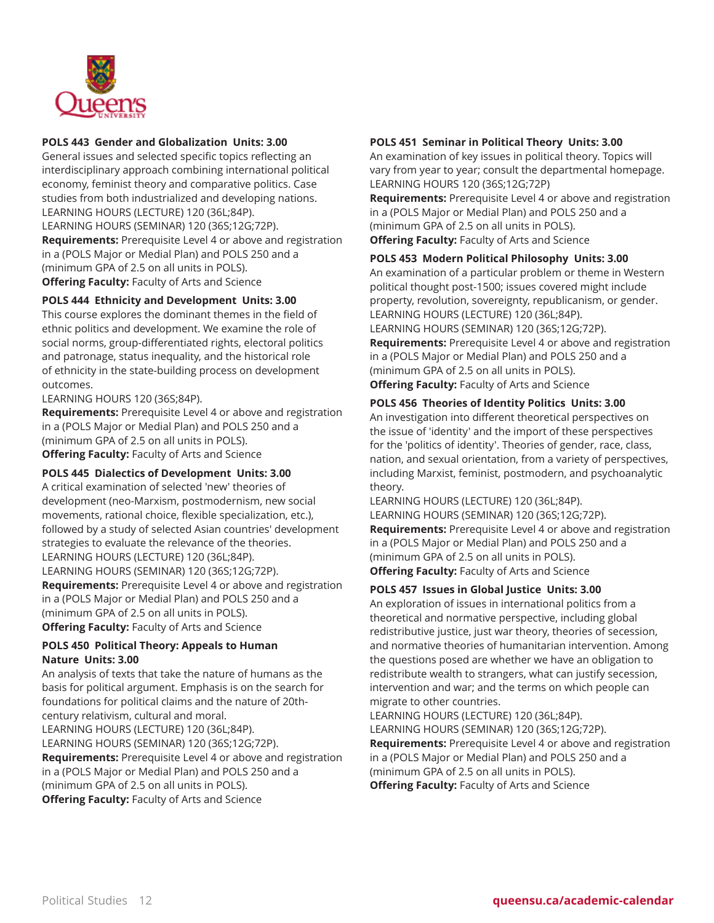

## **POLS 443 Gender and Globalization Units: 3.00**

General issues and selected specific topics reflecting an interdisciplinary approach combining international political economy, feminist theory and comparative politics. Case studies from both industrialized and developing nations. LEARNING HOURS (LECTURE) 120 (36L;84P). LEARNING HOURS (SEMINAR) 120 (36S;12G;72P). **Requirements:** Prerequisite Level 4 or above and registration in a (POLS Major or Medial Plan) and POLS 250 and a (minimum GPA of 2.5 on all units in POLS). **Offering Faculty:** Faculty of Arts and Science

# **POLS 444 Ethnicity and Development Units: 3.00**

This course explores the dominant themes in the field of ethnic politics and development. We examine the role of social norms, group-differentiated rights, electoral politics and patronage, status inequality, and the historical role of ethnicity in the state-building process on development outcomes.

LEARNING HOURS 120 (36S;84P).

**Requirements:** Prerequisite Level 4 or above and registration in a (POLS Major or Medial Plan) and POLS 250 and a (minimum GPA of 2.5 on all units in POLS). **Offering Faculty:** Faculty of Arts and Science

#### **POLS 445 Dialectics of Development Units: 3.00**

A critical examination of selected 'new' theories of development (neo-Marxism, postmodernism, new social movements, rational choice, flexible specialization, etc.), followed by a study of selected Asian countries' development strategies to evaluate the relevance of the theories. LEARNING HOURS (LECTURE) 120 (36L;84P). LEARNING HOURS (SEMINAR) 120 (36S;12G;72P). **Requirements:** Prerequisite Level 4 or above and registration in a (POLS Major or Medial Plan) and POLS 250 and a (minimum GPA of 2.5 on all units in POLS). **Offering Faculty:** Faculty of Arts and Science

#### **POLS 450 Political Theory: Appeals to Human Nature Units: 3.00**

An analysis of texts that take the nature of humans as the basis for political argument. Emphasis is on the search for foundations for political claims and the nature of 20thcentury relativism, cultural and moral. LEARNING HOURS (LECTURE) 120 (36L;84P). LEARNING HOURS (SEMINAR) 120 (36S;12G;72P). **Requirements:** Prerequisite Level 4 or above and registration in a (POLS Major or Medial Plan) and POLS 250 and a (minimum GPA of 2.5 on all units in POLS). **Offering Faculty:** Faculty of Arts and Science

#### **POLS 451 Seminar in Political Theory Units: 3.00**

An examination of key issues in political theory. Topics will vary from year to year; consult the departmental homepage. LEARNING HOURS 120 (36S;12G;72P)

**Requirements:** Prerequisite Level 4 or above and registration in a (POLS Major or Medial Plan) and POLS 250 and a (minimum GPA of 2.5 on all units in POLS). **Offering Faculty:** Faculty of Arts and Science

#### **POLS 453 Modern Political Philosophy Units: 3.00**

An examination of a particular problem or theme in Western political thought post-1500; issues covered might include property, revolution, sovereignty, republicanism, or gender. LEARNING HOURS (LECTURE) 120 (36L;84P). LEARNING HOURS (SEMINAR) 120 (36S;12G;72P). **Requirements:** Prerequisite Level 4 or above and registration in a (POLS Major or Medial Plan) and POLS 250 and a (minimum GPA of 2.5 on all units in POLS).

**Offering Faculty:** Faculty of Arts and Science

## **POLS 456 Theories of Identity Politics Units: 3.00**

An investigation into different theoretical perspectives on the issue of 'identity' and the import of these perspectives for the 'politics of identity'. Theories of gender, race, class, nation, and sexual orientation, from a variety of perspectives, including Marxist, feminist, postmodern, and psychoanalytic theory.

LEARNING HOURS (LECTURE) 120 (36L;84P). LEARNING HOURS (SEMINAR) 120 (36S;12G;72P).

**Requirements:** Prerequisite Level 4 or above and registration in a (POLS Major or Medial Plan) and POLS 250 and a (minimum GPA of 2.5 on all units in POLS). **Offering Faculty:** Faculty of Arts and Science

# **POLS 457 Issues in Global Justice Units: 3.00**

An exploration of issues in international politics from a theoretical and normative perspective, including global redistributive justice, just war theory, theories of secession, and normative theories of humanitarian intervention. Among the questions posed are whether we have an obligation to redistribute wealth to strangers, what can justify secession, intervention and war; and the terms on which people can migrate to other countries.

LEARNING HOURS (LECTURE) 120 (36L;84P). LEARNING HOURS (SEMINAR) 120 (36S;12G;72P). **Requirements:** Prerequisite Level 4 or above and registration in a (POLS Major or Medial Plan) and POLS 250 and a (minimum GPA of 2.5 on all units in POLS). **Offering Faculty:** Faculty of Arts and Science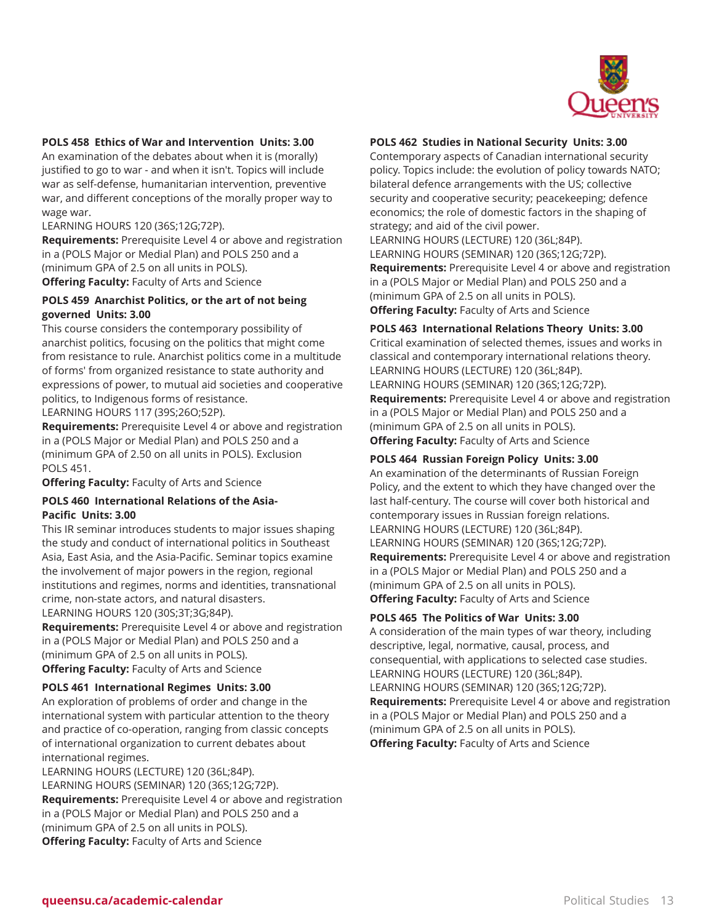

#### **POLS 458 Ethics of War and Intervention Units: 3.00**

An examination of the debates about when it is (morally) justified to go to war - and when it isn't. Topics will include war as self-defense, humanitarian intervention, preventive war, and different conceptions of the morally proper way to wage war.

LEARNING HOURS 120 (36S;12G;72P).

**Requirements:** Prerequisite Level 4 or above and registration in a (POLS Major or Medial Plan) and POLS 250 and a (minimum GPA of 2.5 on all units in POLS). **Offering Faculty:** Faculty of Arts and Science

#### **POLS 459 Anarchist Politics, or the art of not being governed Units: 3.00**

This course considers the contemporary possibility of anarchist politics, focusing on the politics that might come from resistance to rule. Anarchist politics come in a multitude of forms' from organized resistance to state authority and expressions of power, to mutual aid societies and cooperative politics, to Indigenous forms of resistance.

LEARNING HOURS 117 (39S;26O;52P).

**Requirements:** Prerequisite Level 4 or above and registration in a (POLS Major or Medial Plan) and POLS 250 and a (minimum GPA of 2.50 on all units in POLS). Exclusion POLS 451.

**Offering Faculty:** Faculty of Arts and Science

#### **POLS 460 International Relations of the Asia-Pacific Units: 3.00**

This IR seminar introduces students to major issues shaping the study and conduct of international politics in Southeast Asia, East Asia, and the Asia-Pacific. Seminar topics examine the involvement of major powers in the region, regional institutions and regimes, norms and identities, transnational crime, non-state actors, and natural disasters.

LEARNING HOURS 120 (30S;3T;3G;84P).

**Requirements:** Prerequisite Level 4 or above and registration in a (POLS Major or Medial Plan) and POLS 250 and a (minimum GPA of 2.5 on all units in POLS). **Offering Faculty:** Faculty of Arts and Science

#### **POLS 461 International Regimes Units: 3.00**

An exploration of problems of order and change in the international system with particular attention to the theory and practice of co-operation, ranging from classic concepts of international organization to current debates about international regimes.

LEARNING HOURS (LECTURE) 120 (36L;84P). LEARNING HOURS (SEMINAR) 120 (36S;12G;72P). **Requirements:** Prerequisite Level 4 or above and registration in a (POLS Major or Medial Plan) and POLS 250 and a (minimum GPA of 2.5 on all units in POLS). **Offering Faculty:** Faculty of Arts and Science

# **POLS 462 Studies in National Security Units: 3.00**

Contemporary aspects of Canadian international security policy. Topics include: the evolution of policy towards NATO; bilateral defence arrangements with the US; collective security and cooperative security; peacekeeping; defence economics; the role of domestic factors in the shaping of strategy; and aid of the civil power.

LEARNING HOURS (LECTURE) 120 (36L;84P). LEARNING HOURS (SEMINAR) 120 (36S;12G;72P). **Requirements:** Prerequisite Level 4 or above and registration in a (POLS Major or Medial Plan) and POLS 250 and a (minimum GPA of 2.5 on all units in POLS). **Offering Faculty:** Faculty of Arts and Science

## **POLS 463 International Relations Theory Units: 3.00**

Critical examination of selected themes, issues and works in classical and contemporary international relations theory. LEARNING HOURS (LECTURE) 120 (36L;84P). LEARNING HOURS (SEMINAR) 120 (36S;12G;72P). **Requirements:** Prerequisite Level 4 or above and registration in a (POLS Major or Medial Plan) and POLS 250 and a (minimum GPA of 2.5 on all units in POLS). **Offering Faculty:** Faculty of Arts and Science

#### **POLS 464 Russian Foreign Policy Units: 3.00**

An examination of the determinants of Russian Foreign Policy, and the extent to which they have changed over the last half-century. The course will cover both historical and contemporary issues in Russian foreign relations. LEARNING HOURS (LECTURE) 120 (36L;84P). LEARNING HOURS (SEMINAR) 120 (36S;12G;72P). **Requirements:** Prerequisite Level 4 or above and registration in a (POLS Major or Medial Plan) and POLS 250 and a (minimum GPA of 2.5 on all units in POLS). **Offering Faculty:** Faculty of Arts and Science

#### **POLS 465 The Politics of War Units: 3.00**

A consideration of the main types of war theory, including descriptive, legal, normative, causal, process, and consequential, with applications to selected case studies. LEARNING HOURS (LECTURE) 120 (36L;84P). LEARNING HOURS (SEMINAR) 120 (36S;12G;72P). **Requirements:** Prerequisite Level 4 or above and registration in a (POLS Major or Medial Plan) and POLS 250 and a (minimum GPA of 2.5 on all units in POLS). **Offering Faculty:** Faculty of Arts and Science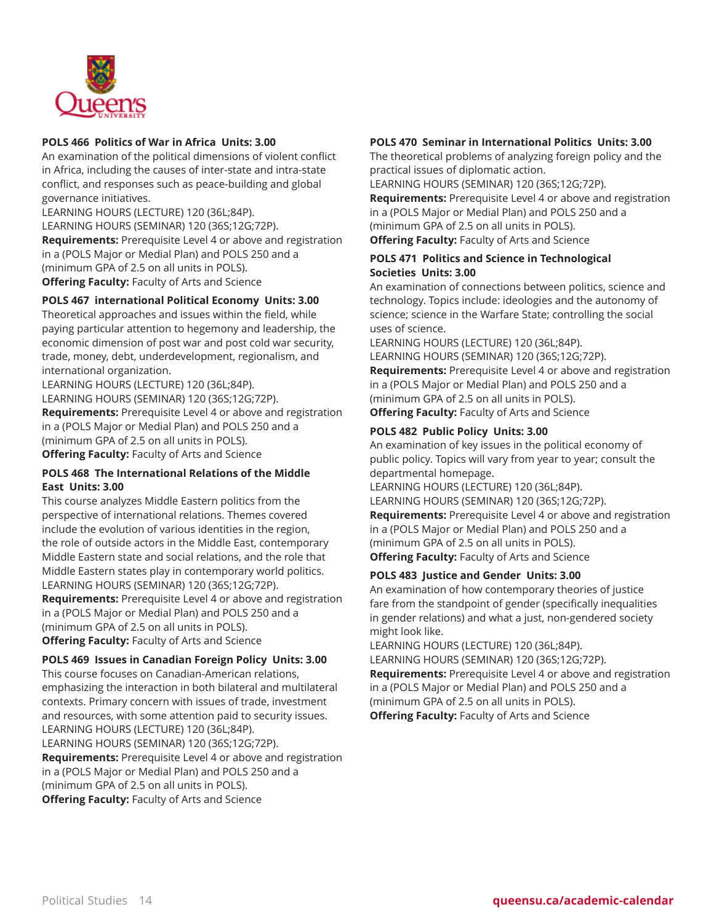

## **POLS 466 Politics of War in Africa Units: 3.00**

An examination of the political dimensions of violent conflict in Africa, including the causes of inter-state and intra-state conflict, and responses such as peace-building and global governance initiatives.

LEARNING HOURS (LECTURE) 120 (36L;84P). LEARNING HOURS (SEMINAR) 120 (36S;12G;72P). **Requirements:** Prerequisite Level 4 or above and registration in a (POLS Major or Medial Plan) and POLS 250 and a (minimum GPA of 2.5 on all units in POLS). **Offering Faculty:** Faculty of Arts and Science

#### **POLS 467 international Political Economy Units: 3.00**

Theoretical approaches and issues within the field, while paying particular attention to hegemony and leadership, the economic dimension of post war and post cold war security, trade, money, debt, underdevelopment, regionalism, and international organization.

LEARNING HOURS (LECTURE) 120 (36L;84P). LEARNING HOURS (SEMINAR) 120 (36S;12G;72P). **Requirements:** Prerequisite Level 4 or above and registration in a (POLS Major or Medial Plan) and POLS 250 and a (minimum GPA of 2.5 on all units in POLS). **Offering Faculty:** Faculty of Arts and Science

## **POLS 468 The International Relations of the Middle East Units: 3.00**

This course analyzes Middle Eastern politics from the perspective of international relations. Themes covered include the evolution of various identities in the region, the role of outside actors in the Middle East, contemporary Middle Eastern state and social relations, and the role that Middle Eastern states play in contemporary world politics. LEARNING HOURS (SEMINAR) 120 (36S;12G;72P).

**Requirements:** Prerequisite Level 4 or above and registration in a (POLS Major or Medial Plan) and POLS 250 and a (minimum GPA of 2.5 on all units in POLS). **Offering Faculty:** Faculty of Arts and Science

#### **POLS 469 Issues in Canadian Foreign Policy Units: 3.00**

This course focuses on Canadian-American relations, emphasizing the interaction in both bilateral and multilateral contexts. Primary concern with issues of trade, investment and resources, with some attention paid to security issues. LEARNING HOURS (LECTURE) 120 (36L;84P). LEARNING HOURS (SEMINAR) 120 (36S;12G;72P). **Requirements:** Prerequisite Level 4 or above and registration in a (POLS Major or Medial Plan) and POLS 250 and a (minimum GPA of 2.5 on all units in POLS). **Offering Faculty:** Faculty of Arts and Science

# **POLS 470 Seminar in International Politics Units: 3.00**

The theoretical problems of analyzing foreign policy and the practical issues of diplomatic action.

LEARNING HOURS (SEMINAR) 120 (36S;12G;72P).

**Requirements:** Prerequisite Level 4 or above and registration in a (POLS Major or Medial Plan) and POLS 250 and a (minimum GPA of 2.5 on all units in POLS).

**Offering Faculty:** Faculty of Arts and Science

## **POLS 471 Politics and Science in Technological Societies Units: 3.00**

An examination of connections between politics, science and technology. Topics include: ideologies and the autonomy of science; science in the Warfare State; controlling the social uses of science.

LEARNING HOURS (LECTURE) 120 (36L;84P). LEARNING HOURS (SEMINAR) 120 (36S;12G;72P). **Requirements:** Prerequisite Level 4 or above and registration in a (POLS Major or Medial Plan) and POLS 250 and a (minimum GPA of 2.5 on all units in POLS). **Offering Faculty:** Faculty of Arts and Science

## **POLS 482 Public Policy Units: 3.00**

An examination of key issues in the political economy of public policy. Topics will vary from year to year; consult the departmental homepage.

LEARNING HOURS (LECTURE) 120 (36L;84P).

LEARNING HOURS (SEMINAR) 120 (36S;12G;72P). **Requirements:** Prerequisite Level 4 or above and registration in a (POLS Major or Medial Plan) and POLS 250 and a (minimum GPA of 2.5 on all units in POLS). **Offering Faculty:** Faculty of Arts and Science

#### **POLS 483 Justice and Gender Units: 3.00**

An examination of how contemporary theories of justice fare from the standpoint of gender (specifically inequalities in gender relations) and what a just, non-gendered society might look like.

LEARNING HOURS (LECTURE) 120 (36L;84P).

LEARNING HOURS (SEMINAR) 120 (36S;12G;72P).

**Requirements:** Prerequisite Level 4 or above and registration in a (POLS Major or Medial Plan) and POLS 250 and a (minimum GPA of 2.5 on all units in POLS).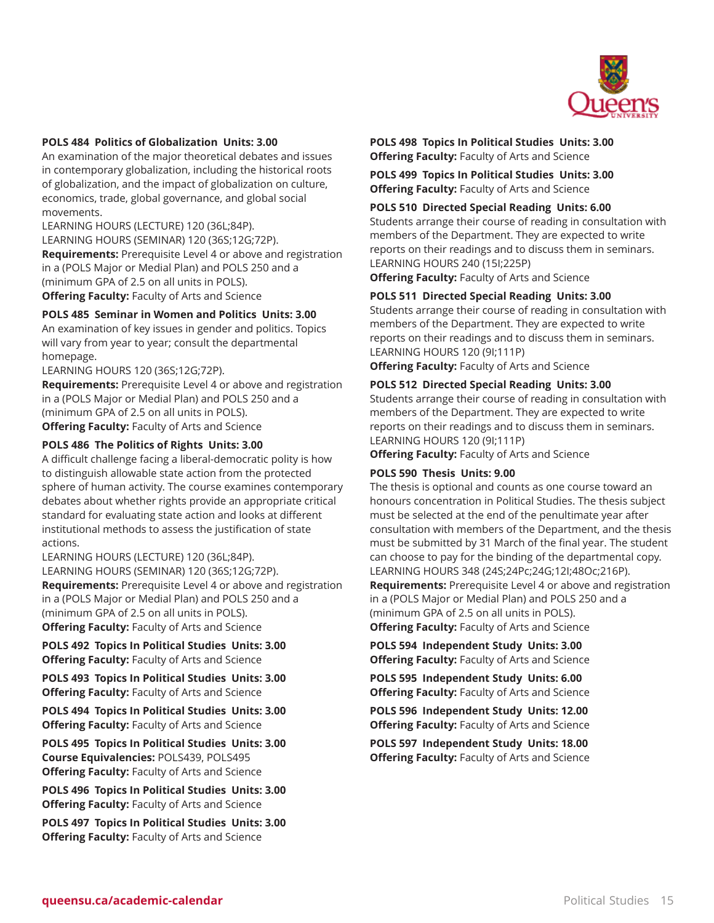

#### **POLS 484 Politics of Globalization Units: 3.00**

An examination of the major theoretical debates and issues in contemporary globalization, including the historical roots of globalization, and the impact of globalization on culture, economics, trade, global governance, and global social movements.

LEARNING HOURS (LECTURE) 120 (36L;84P). LEARNING HOURS (SEMINAR) 120 (36S;12G;72P). **Requirements:** Prerequisite Level 4 or above and registration in a (POLS Major or Medial Plan) and POLS 250 and a (minimum GPA of 2.5 on all units in POLS). **Offering Faculty:** Faculty of Arts and Science

#### **POLS 485 Seminar in Women and Politics Units: 3.00**

An examination of key issues in gender and politics. Topics will vary from year to year; consult the departmental homepage.

LEARNING HOURS 120 (36S;12G;72P).

**Requirements:** Prerequisite Level 4 or above and registration in a (POLS Major or Medial Plan) and POLS 250 and a (minimum GPA of 2.5 on all units in POLS). **Offering Faculty:** Faculty of Arts and Science

#### **POLS 486 The Politics of Rights Units: 3.00**

A difficult challenge facing a liberal-democratic polity is how to distinguish allowable state action from the protected sphere of human activity. The course examines contemporary debates about whether rights provide an appropriate critical standard for evaluating state action and looks at different institutional methods to assess the justification of state actions.

LEARNING HOURS (LECTURE) 120 (36L;84P). LEARNING HOURS (SEMINAR) 120 (36S;12G;72P). **Requirements:** Prerequisite Level 4 or above and registration in a (POLS Major or Medial Plan) and POLS 250 and a (minimum GPA of 2.5 on all units in POLS). **Offering Faculty:** Faculty of Arts and Science

**POLS 492 Topics In Political Studies Units: 3.00 Offering Faculty:** Faculty of Arts and Science

**POLS 493 Topics In Political Studies Units: 3.00 Offering Faculty:** Faculty of Arts and Science

**POLS 494 Topics In Political Studies Units: 3.00 Offering Faculty:** Faculty of Arts and Science

**POLS 495 Topics In Political Studies Units: 3.00 Course Equivalencies:** POLS439, POLS495 **Offering Faculty:** Faculty of Arts and Science

**POLS 496 Topics In Political Studies Units: 3.00 Offering Faculty:** Faculty of Arts and Science

**POLS 497 Topics In Political Studies Units: 3.00 Offering Faculty:** Faculty of Arts and Science

**POLS 498 Topics In Political Studies Units: 3.00 Offering Faculty:** Faculty of Arts and Science

**POLS 499 Topics In Political Studies Units: 3.00 Offering Faculty:** Faculty of Arts and Science

#### **POLS 510 Directed Special Reading Units: 6.00**

Students arrange their course of reading in consultation with members of the Department. They are expected to write reports on their readings and to discuss them in seminars. LEARNING HOURS 240 (15I;225P)

**Offering Faculty:** Faculty of Arts and Science

#### **POLS 511 Directed Special Reading Units: 3.00**

Students arrange their course of reading in consultation with members of the Department. They are expected to write reports on their readings and to discuss them in seminars. LEARNING HOURS 120 (9I;111P)

**Offering Faculty:** Faculty of Arts and Science

#### **POLS 512 Directed Special Reading Units: 3.00**

Students arrange their course of reading in consultation with members of the Department. They are expected to write reports on their readings and to discuss them in seminars. LEARNING HOURS 120 (9I;111P)

**Offering Faculty:** Faculty of Arts and Science

#### **POLS 590 Thesis Units: 9.00**

The thesis is optional and counts as one course toward an honours concentration in Political Studies. The thesis subject must be selected at the end of the penultimate year after consultation with members of the Department, and the thesis must be submitted by 31 March of the final year. The student can choose to pay for the binding of the departmental copy. LEARNING HOURS 348 (24S;24Pc;24G;12I;48Oc;216P). **Requirements:** Prerequisite Level 4 or above and registration in a (POLS Major or Medial Plan) and POLS 250 and a (minimum GPA of 2.5 on all units in POLS). **Offering Faculty:** Faculty of Arts and Science

**POLS 594 Independent Study Units: 3.00 Offering Faculty:** Faculty of Arts and Science

**POLS 595 Independent Study Units: 6.00 Offering Faculty:** Faculty of Arts and Science

**POLS 596 Independent Study Units: 12.00 Offering Faculty:** Faculty of Arts and Science

**POLS 597 Independent Study Units: 18.00 Offering Faculty:** Faculty of Arts and Science